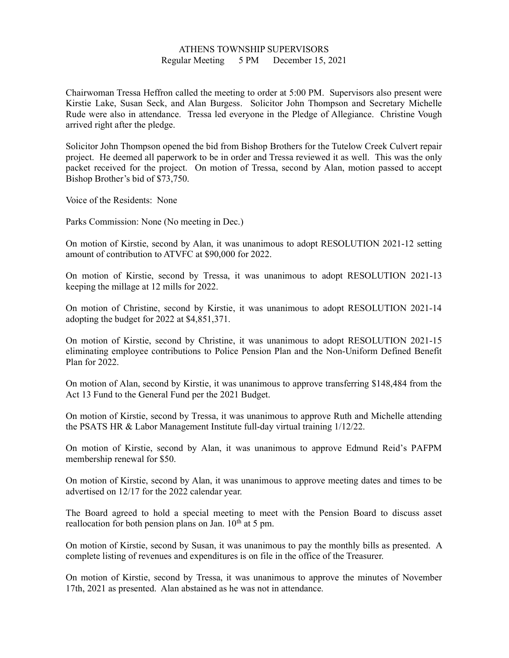## ATHENS TOWNSHIP SUPERVISORS Regular Meeting 5 PM December 15, 2021

Chairwoman Tressa Heffron called the meeting to order at 5:00 PM. Supervisors also present were Kirstie Lake, Susan Seck, and Alan Burgess. Solicitor John Thompson and Secretary Michelle Rude were also in attendance. Tressa led everyone in the Pledge of Allegiance. Christine Vough arrived right after the pledge.

Solicitor John Thompson opened the bid from Bishop Brothers for the Tutelow Creek Culvert repair project. He deemed all paperwork to be in order and Tressa reviewed it as well. This was the only packet received for the project. On motion of Tressa, second by Alan, motion passed to accept Bishop Brother's bid of \$73,750.

Voice of the Residents: None

Parks Commission: None (No meeting in Dec.)

On motion of Kirstie, second by Alan, it was unanimous to adopt RESOLUTION 2021-12 setting amount of contribution to ATVFC at \$90,000 for 2022.

On motion of Kirstie, second by Tressa, it was unanimous to adopt RESOLUTION 2021-13 keeping the millage at 12 mills for 2022.

On motion of Christine, second by Kirstie, it was unanimous to adopt RESOLUTION 2021-14 adopting the budget for 2022 at \$4,851,371.

On motion of Kirstie, second by Christine, it was unanimous to adopt RESOLUTION 2021-15 eliminating employee contributions to Police Pension Plan and the Non-Uniform Defined Benefit Plan for 2022.

On motion of Alan, second by Kirstie, it was unanimous to approve transferring \$148,484 from the Act 13 Fund to the General Fund per the 2021 Budget.

On motion of Kirstie, second by Tressa, it was unanimous to approve Ruth and Michelle attending the PSATS HR & Labor Management Institute full-day virtual training 1/12/22.

On motion of Kirstie, second by Alan, it was unanimous to approve Edmund Reid's PAFPM membership renewal for \$50.

On motion of Kirstie, second by Alan, it was unanimous to approve meeting dates and times to be advertised on 12/17 for the 2022 calendar year.

The Board agreed to hold a special meeting to meet with the Pension Board to discuss asset reallocation for both pension plans on Jan.  $10<sup>th</sup>$  at 5 pm.

On motion of Kirstie, second by Susan, it was unanimous to pay the monthly bills as presented. A complete listing of revenues and expenditures is on file in the office of the Treasurer.

On motion of Kirstie, second by Tressa, it was unanimous to approve the minutes of November 17th, 2021 as presented. Alan abstained as he was not in attendance.